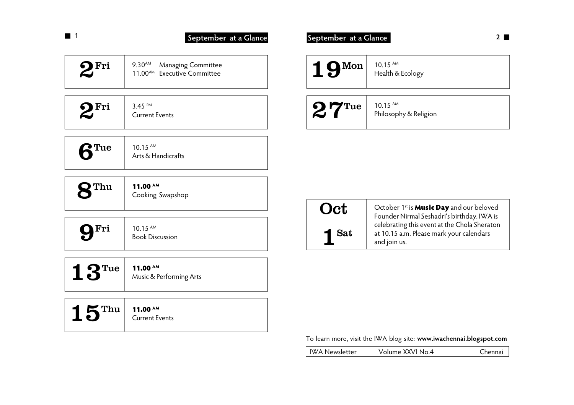|                    | September at a Glance                                                            | September at a Glance |  |
|--------------------|----------------------------------------------------------------------------------|-----------------------|--|
| $2^{\mathrm{Fri}}$ | 9.30 <sup>AM</sup> Managing Committee<br>11.00 <sup>AM</sup> Executive Committee | $1$ QMon              |  |
|                    |                                                                                  |                       |  |

| OFri | 3.45 PM<br><b>Current Events</b> |
|------|----------------------------------|
|      |                                  |

| $\mathbf{O}$ Thu | 11.00 $^{\text{AM}}$<br>Cooking Swapshop |
|------------------|------------------------------------------|
|                  |                                          |

| Fri |
|-----|
|-----|

 $10.15$  AM Book Discussion

| Music & Performing Arts |
|-------------------------|
|                         |

# $15^{\mathrm{Thu}}$   $\frac{11.00^{\mathrm{AM}}}{\mathrm{Current}}$ Current Events

| $19$ <sup>Mon</sup> | $10.15$ AM<br>Health & Ecology      |
|---------------------|-------------------------------------|
| $27^{\text{True}}$  | $10.15$ AM<br>Philosophy & Religion |

|   | <b>Oct</b> |
|---|------------|
| 1 | <b>Sat</b> |

October 1<sup>st</sup> is **Music Day** and our beloved Founder Nirmal Seshadri's birthday. IWA is celebrating this event at the Chola Sheraton at 10.15 a.m. Please mark your calendars and join us.

To learn more, visit the IWA blog site: **www.iwachennai.blogspot.com**

IWA Newsletter Volume XXVI No.4 Chennai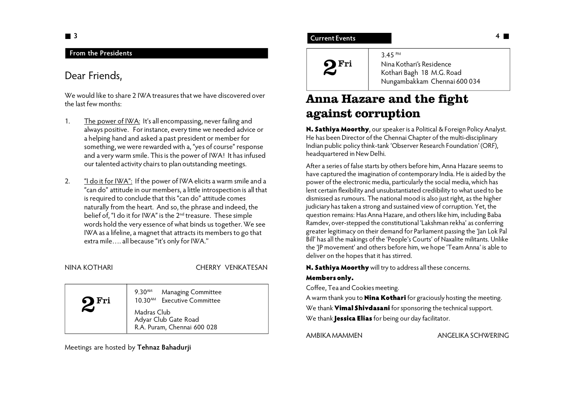## **3**

## **From the Presidents**

# Dear Friends,

We would like to share 2 IWA treasures that we have discovered over the last few months:

- 1. The power of IWA: It's all encompassing, never failing and always positive. For instance, every time we needed advice or a helping hand and asked a past president or member for something, we were rewarded with a, "yes of course" response and a very warm smile. This is the power of IWA! It has infused our talented activity chairs to plan outstanding meetings.
- 2. "I do it for IWA": If the power of IWA elicits a warm smile and a "can do" attitude in our members, a little introspection is all that is required to conclude that this "can do" attitude comes naturally from the heart. And so, the phrase and indeed, the belief of, "I do it for IWA" is the 2<sup>nd</sup> treasure. These simple words hold the very essence of what binds us together. We see IWA as a lifeline, a magnet that attracts its members to go that extra mile…. all because "it's only for IWA.''

## NINA KOTHARI CHERRY VENKATESAN

| -Fri<br>6) | $9.30^{AM}$<br><b>Managing Committee</b><br>10.30 <sup>AM</sup> Executive Committee |
|------------|-------------------------------------------------------------------------------------|
|            | Madras Club<br>Adyar Club Gate Road<br>R.A. Puram, Chennai 600 028                  |

Meetings are hosted by **Tehnaz Bahadurji**

## **Current Events**



3.45 PM Nina Kothari's Residence Kothari Bagh 18 M.G. Road Nungambakkam Chennai 600 034

# **Anna Hazare and the fight against corruption**

**N. Sathiya Moorthy**, our speaker is a Political & Foreign Policy Analyst. He has been Director of the Chennai Chapter of the multi-disciplinary Indian public policy think-tank 'Observer Research Foundation' (ORF), headquartered in New Delhi.

After a series of false starts by others before him, Anna Hazare seems to have captured the imagination of contemporary India. He is aided by the power of the electronic media, particularly the social media, which has lent certain flexibility and unsubstantiated credibility to what used to be dismissed as rumours. The national mood is also just right, as the higher judiciary has taken a strong and sustained view of corruption. Yet, the question remains: Has Anna Hazare, and others like him, including Baba Ramdev, over-stepped the constitutional 'Lakshman rekha' as conferring greater legitimacy on their demand for Parliament passing the 'Jan Lok Pal Bill' has all the makings of the 'People's Courts' of Naxalite militants. Unlike the 'JP movement' and others before him, we hope 'Team Anna' is able to deliver on the hopes that it has stirred.

**N. Sathiya Moorthy** will try to address all these concerns.

### **Members only.**

Coffee, Tea and Cookies meeting.

A warm thank you to **Nina Kothari** for graciously hosting the meeting. We thank **Vimal Shivdasani** for sponsoring the technical support. We thank **Jessica Elias** for being our day facilitator.

AMBIKA MAMMEN ANGELIKA SCHWERING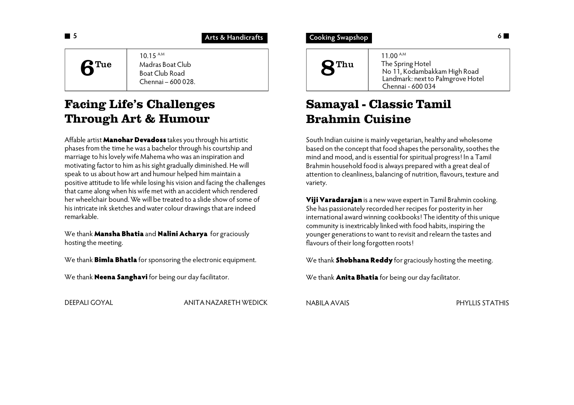**Arts & Handicrafts**

10.15 A.M Madras Boat Club Boat Club Road Chennai – 600 028.  $6^{\text{True}}$ 

# **Facing Life's Challenges Through Art & Humour**

Affable artist **Manohar Devadoss** takes you through his artistic phases from the time he was a bachelor through his courtship and marriage to his lovely wife Mahema who was an inspiration and motivating factor to him as his sight gradually diminished. He will speak to us about how art and humour helped him maintain a positive attitude to life while losing his vision and facing the challenges that came along when his wife met with an accident which rendered her wheelchair bound. We will be treated to a slide show of some of his intricate ink sketches and water colour drawings that are indeed remarkable.

We thank **Mansha Bhatia** and **Nalini Acharya** for graciously hosting the meeting.

We thank **Bimla Bhatla** for sponsoring the electronic equipment.

We thank **Neena Sanghavi** for being our day facilitator.

DEEPALI GOYAL ANITA NAZARETH WEDICK

**1 5 Cooking Swapshop** 



# **Samayal - Classic Tamil Brahmin Cuisine**

South Indian cuisine is mainly vegetarian, healthy and wholesome based on the concept that food shapes the personality, soothes the mind and mood, and is essential for spiritual progress! In a Tamil Brahmin household food is always prepared with a great deal of attention to cleanliness, balancing of nutrition, flavours, texture and variety.

**Viji Varadarajan** is a new wave expert in Tamil Brahmin cooking. She has passionately recorded her recipes for posterity in her international award winning cookbooks! The identity of this unique community is inextricably linked with food habits, inspiring the younger generations to want to revisit and relearn the tastes and flavours of their long forgotten roots!

We thank **Shobhana Reddy** for graciously hosting the meeting.

We thank **Anita Bhatia** for being our day facilitator.

NABILA AVAIS PHYLLIS STATHIS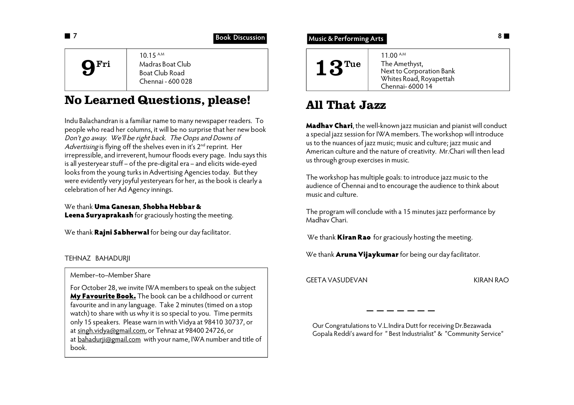|                  | <b>Book Discussion</b>                                              | <b>Music &amp; Performing Arts</b>                                                                                          |  |
|------------------|---------------------------------------------------------------------|-----------------------------------------------------------------------------------------------------------------------------|--|
| $\mathbf{Q}$ Fri | $10.15$ AM<br>Madras Boat Club<br>Boat Club Road<br>$CL$ : $100000$ | $11.00^{\text{AM}}$<br>$\triangleleft$ $\Omega$ Tue<br>The Amethyst,<br>Next to Corporation Bank<br>Whites Road, Rovapettah |  |

Chennai - 600 028

# **No Learned Questions, please!**

Indu Balachandran is a familiar name to many newspaper readers. To people who read her columns, it will be no surprise that her new book *Don't go away. We'll be right back. The Oops and Downs of* Advertising is flying off the shelves even in it's 2<sup>nd</sup> reprint. Her irrepressible, and irreverent, humour floods every page. Indu says this is all yesteryear stuff – of the pre-digital era – and elicits wide-eyed looks from the young turks in Advertising Agencies today. But they were evidently very joyful yesteryears for her, as the book is clearly a celebration of her Ad Agency innings.

We thank **Uma Ganesan**, **Shobha Hebbar & Leena Suryaprakash** for graciously hosting the meeting.

We thank **Rajni Sabherwal** for being our day facilitator.

## TEHNAZ BAHADURJI

Member–to–Member Share

For October 28, we invite IWA members to speak on the subject **My Favourite Book.** The book can be a childhood or current favourite and in any language. Take 2 minutes (timed on a stop watch) to share with us why it is so special to you. Time permits only 15 speakers. Please warn in with Vidya at 98410 30737, or at singh.vidya@gmail.com, or Tehnaz at 98400 24726, or at bahadurij@gmail.com with your name, IWA number and title of book.

| 11.00 A.M<br>The Amethyst,<br>$\blacksquare$ $\blacksquare$ Tue<br>Next to Corporation Bank<br>Whites Road, Royapettah<br>Chennai- 6000 14 |  |
|--------------------------------------------------------------------------------------------------------------------------------------------|--|
|--------------------------------------------------------------------------------------------------------------------------------------------|--|

# **All That Jazz**

**Madhav Chari**, the well-known jazz musician and pianist will conduct a special jazz session for IWA members. The workshop will introduce us to the nuances of jazz music; music and culture; jazz music and American culture and the nature of creativity. Mr.Chari will then lead us through group exercises in music.

The workshop has multiple goals: to introduce jazz music to the audience of Chennai and to encourage the audience to think about music and culture.

The program will conclude with a 15 minutes jazz performance by Madhav Chari.

We thank **Kiran Rao** for graciously hosting the meeting.

We thank **Aruna Vijaykumar** for being our day facilitator.

GEETA VASUDEVAN KIRAN RAO

Our Congratulations to V.L.Indira Dutt for receiving Dr.Bezawada Gopala Reddi's award for " Best Industrialist" & "Community Service"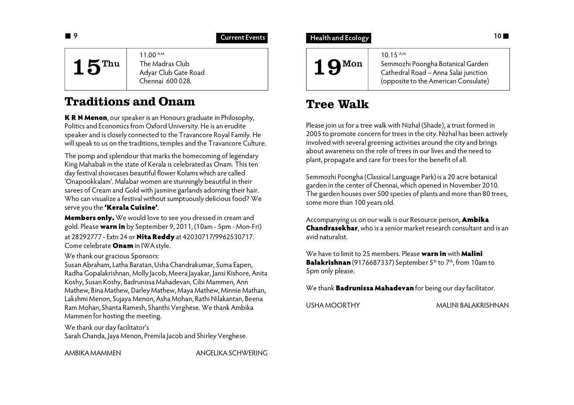## **Current Events**

11.00 A.M The Madras Club Adyar Club Gate Road Chennai 600 028.  $15$ <sup>Thu</sup>

# **Traditions and Onam**

**K R N Menon**, our speaker is an Honours graduate in Philosophy, Politics and Economics from Oxford University. He is an erudite speaker and is closely connected to the Travancore Royal Family. He will speak to us on the traditions, temples and the Travancore Culture.

The pomp and splendour that marks the homecoming of legendary King Mahabali in the state of Kerala is celebrated as Onam. This ten day festival showcases beautiful flower Kolams which are called 'Onapookkalam'. Malabar women are stunningly beautiful in their sarees of Cream and Gold with jasmine garlands adorning their hair. Who can visualize a festival without sumptuously delicious food? We serve you the **'Kerala Cuisine'**.

**Members only.** We would love to see you dressed in cream and gold. Please **warn in** by September 9, 2011, (10am - 5pm - Mon-Fri) at 28292777 - Extn 24 or **Nita Reddy** at 42030717/9962530717. Come celebrate **Onam** in IWA style.

## We thank our gracious Sponsors:

Susan Abraham, Latha Baratan, Usha Chandrakumar, Suma Eapen, Radha Gopalakrishnan, Molly Jacob, Meera Jayakar, Jansi Kishore, Anita Koshy, Susan Koshy, Badrunissa Mahadevan, Cibi Mammen, Ann Mathew, Bina Mathew, Darley Mathew, Maya Mathew, Minnie Mathan, Lakshmi Menon, Sujaya Menon, Asha Mohan, Rathi Nilakantan, Beena Ram Mohan, Shanta Ramesh, Shanthi Verghese. We thank Ambika Mammen for hosting the meeting.

We thank our day facilitator's Sarah Chanda, Jaya Menon, Premila Jacob and Shirley Verghese.

AMBIKA MAMMEN ANGELIKA SCHWERING

## **10 a 10 10 10 Current Events 10 Health and Ecology**

19Mon

10.15 A.M Semmozhi Poongha Botanical Garden Cathedral Road – Anna Salai junction (opposite to the American Consulate)

# **Tree Walk**

Please join us for a tree walk with Nizhal (Shade), a trust formed in 2005 to promote concern for trees in the city. Nizhal has been actively involved with several greening activities around the city and brings about awareness on the role of trees in our lives and the need to plant, propagate and care for trees for the benefit of all.

Semmozhi Poongha (Classical Language Park) is a 20 acre botanical garden in the center of Chennai, which opened in November 2010. The garden houses over 500 species of plants and more than 80 trees, some more than 100 years old.

Accompanying us on our walk is our Resource person, **Ambika Chandrasekhar**, who is a senior market research consultant and is an avid naturalist.

We have to limit to 25 members. Please **warn in** with **Malini Balakrishnan** (9176687337) September 5<sup>th</sup> to 7<sup>th</sup>, from 10am to 5pm only please.

We thank **Badrunissa Mahadevan** for being our day facilitator.

USHA MOORTHY MALINI BALAKRISHNAN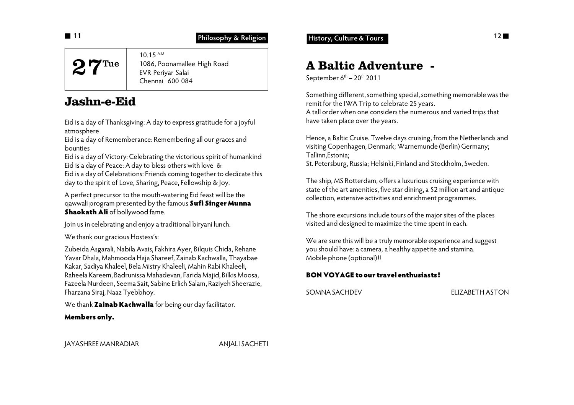**Philosophy & Religion**

# 27Tue

10.15 A.M 1086, Poonamallee High Road EVR Periyar Salai Chennai 600 084

# **Jashn-e-Eid**

Eid is a day of Thanksgiving: A day to express gratitude for a joyful atmosphere

Eid is a day of Rememberance: Remembering all our graces and bounties

Eid is a day of Victory: Celebrating the victorious spirit of humankind Eid is a day of Peace: A day to bless others with love & Eid is a day of Celebrations: Friends coming together to dedicate this day to the spirit of Love, Sharing, Peace, Fellowship & Joy.

A perfect precursor to the mouth-watering Eid feast will be the qawwali program presented by the famous **Sufi Singer Munna Shaokath Ali** of bollywood fame.

Join us in celebrating and enjoy a traditional biryani lunch.

We thank our gracious Hostess's:

Zubeida Asgarali, Nabila Avais, Fakhira Ayer, Bilquis Chida, Rehane Yavar Dhala, Mahmooda Haja Shareef, Zainab Kachwalla, Thayabae Kakar, Sadiya Khaleel, Bela Mistry Khaleeli, Mahin Rabi Khaleeli, Raheela Kareem, Badrunissa Mahadevan, Farida Majid, Bilkis Moosa, Fazeela Nurdeen, Seema Sait, Sabine Erlich Salam, Raziyeh Sheerazie, Fharzana Siraj, Naaz Tyebbhoy.

We thank **Zainab Kachwalla** for being our day facilitator.

## **Members only.**

**11 11 11 History, Culture & Tours Philosophy & Religion History, Culture & Tours** 

# **A Baltic Adventure -**

September  $6<sup>th</sup> - 20<sup>th</sup>$  2011

Something different, something special, something memorable was the remit for the IWA Trip to celebrate 25 years. A tall order when one considers the numerous and varied trips that have taken place over the years.

Hence, a Baltic Cruise. Twelve days cruising, from the Netherlands and visiting Copenhagen, Denmark; Warnemunde (Berlin) Germany; Tallinn,Estonia; St. Petersburg, Russia; Helsinki, Finland and Stockholm, Sweden.

The ship, MS Rotterdam, offers a luxurious cruising experience with state of the art amenities, five star dining, a \$2 million art and antique collection, extensive activities and enrichment programmes.

The shore excursions include tours of the major sites of the places visited and designed to maximize the time spent in each.

We are sure this will be a truly memorable experience and suggest you should have: a camera, a healthy appetite and stamina. Mobile phone (optional)!!

## **BON VOYAGE to our travel enthusiasts!**

SOMNA SACHDEV ELIZABETH ASTON

JAYASHREE MANRADIAR ANJALI SACHETI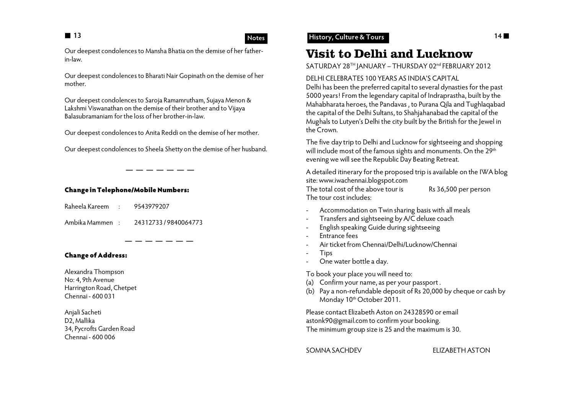## **Notes**

Our deepest condolences to Mansha Bhatia on the demise of her fatherin-law.

Our deepest condolences to Bharati Nair Gopinath on the demise of her mother.

Our deepest condolences to Saroja Ramamrutham, Sujaya Menon & Lakshmi Viswanathan on the demise of their brother and to Vijaya Balasubramaniam for the loss of her brother-in-law.

Our deepest condolences to Anita Reddi on the demise of her mother.

Our deepest condolences to Sheela Shetty on the demise of her husband.

### **Change in Telephone/Mobile Numbers:**

Raheela Kareem : 9543979207

Ambika Mammen : 24312733 / 9840064773

 $-$ 

## **Change of Address:**

Alexandra Thompson No: 4, 9th Avenue Harrington Road, Chetpet Chennai - 600 031

Anjali Sacheti D2, Mallika 34, Pycrofts Garden Road Chennai - 600 006

## **13 14 History, Culture & Tours**

# **Visit to Delhi and Lucknow**

SATURDAY 28TH JANUARY - THURSDAY 02<sup>nd</sup> FEBRUARY 2012

### DELHI CELEBRATES 100 YEARS AS INDIA'S CAPITAL

Delhi has been the preferred capital to several dynasties for the past 5000 years! From the legendary capital of Indraprastha, built by the Mahabharata heroes, the Pandavas , to Purana Qila and Tughlaqabad the capital of the Delhi Sultans, to Shahjahanabad the capital of the Mughals to Lutyen's Delhi the city built by the British for the Jewel in the Crown.

The five day trip to Delhi and Lucknow for sightseeing and shopping will include most of the famous sights and monuments. On the 29<sup>th</sup> evening we will see the Republic Day Beating Retreat.

A detailed itinerary for the proposed trip is available on the IWA blog site: www.iwachennai.blogspot.com The total cost of the above tour is Rs 36,500 per person The tour cost includes:

- Accommodation on Twin sharing basis with all meals
- Transfers and sightseeing by A/C deluxe coach
- English speaking Guide during sightseeing
- Entrance fees
- Air ticket from Chennai/Delhi/Lucknow/Chennai
- Tips
- One water bottle a day.

To book your place you will need to:

- (a) Confirm your name, as per your passport .
- (b) Pay a non-refundable deposit of Rs 20,000 by cheque or cash by Monday 10<sup>th</sup> October 2011.

Please contact Elizabeth Aston on 24328590 or email astonk90@gmail.com to confirm your booking. The minimum group size is 25 and the maximum is 30.

SOMNA SACHDEV ELIZABETH ASTON